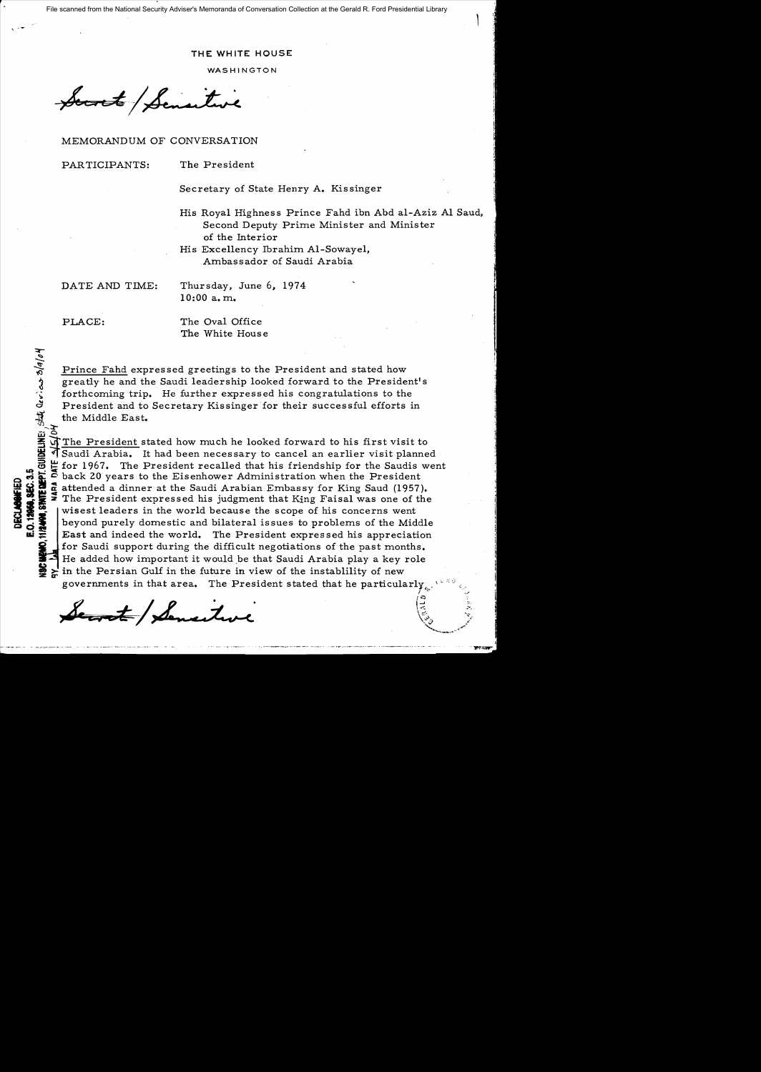File scanned from the National Security Adviser's Memoranda of Conversation Collection at the Gerald R. Ford Presidential Library

## **THE WHITE HOUSE**

**WASHINGTON** 

Socret Sensitive

MEMORANDUM OF CONVERSATION

PARTICIPANTS: The President

 $, -$ 

Secretary of State Henry A. Kissinger

His Royal Highness Prince Fahd ibn Abd al-Aziz Al Saud, Second Deputy Prime Minister and Minister of the Interior

1 S = 10

His Excellency Ibrahim Al-Sowayel, Ambassador of Saudi Arabia

DATE AND TIME: Thursday, June 6, 1974  $10:00$  a.m.

E.O.12

.<br>' a

 $\frac{1}{2}$  and  $\frac{1}{2}$  and  $\frac{1}{2}$ 

Q

PLACE: The Oval Office The White House

Prince Fahd expressed greetings to the President and stated how i greatly he and the Saudi leadership looked forward to the President's forthcoming trip. He further expressed his congratulations to the President and to Secretary Kissinger for their successful efforts in the Middle East.

'fi<br>"<br>ት<br>ን The President stated how much he looked forward to his first visit to  $\frac{15}{10}$  T Saudi Arabia. It had been necessary to cancel an earlier visit planned<br> $\frac{15}{10}$   $\frac{11}{10}$  for 1967. The President recalled that his friendship for the Saudis were for 1967. The President recalled that his friendship for the Saudis went back 20 years to the Eisenhower Administration when the President  $\ddot{\mathbf{x}}$   $\ddot{\mathbf{c}}$  back 20 years to the Eisenhower Administration when the President  $\ddot{\mathbf{u}}$  attended a dinner at the Saudi Arabian Embassy for King Saud (1957). s. S. in the President expressed his judgment that King Faisal was one of the The President expressed his judgment that King Faisal was one of the wisest leaders in the world because the scope of his concerns went beyond purely domestic and bilateral issues to problems of the Middle East and indeed the world. The President expressed his appreciation for Saudi support during the difficult negotiations of the past months. He added how important it would be that Saudi Arabia play a key role in the Persian Gulf in the future in view of the instablility of new governments in that area. The President stated that he particularly, for Saudi support during the difficult negotiations of the past months.<br>
He added how important it would be that Saudi Arabia play a key role<br>
in the Persian Gulf in the future in view of the instability of new<br>
governmen

 $\mathcal{S} \rightarrow \mathcal{S}$  ;  $\mathcal{I}$  :  $\mathcal{I}$  :  $\mathcal{I}$  :  $\mathcal{I}$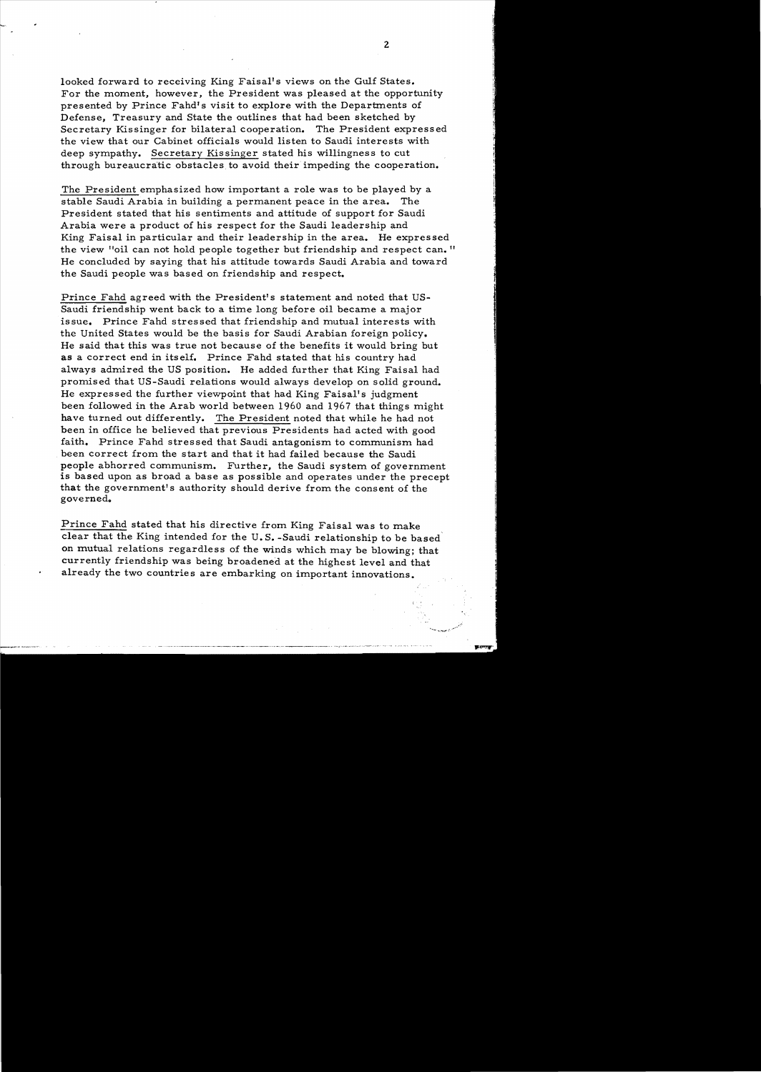looked forward to receiving King Faisal's views on the Gulf States. For the moment, however, the President was pleased at the opportunity presented by Prince Fahd's visit to explore with the Departments of Defense, Treasury and State the outlines that had been sketched by Secretary Kissinger for bilateral cooperation. The President expressed the view that our Cabinet officials would listen to Saudi interests with deep sympathy. Secretary Kissinger stated his willingness to cut through bureaucratic obstacles, to avoid their impeding the cooperation.

The President emphasized how important a role was to be played by a stable Saudi Arabia in building a permanent peace in the area. The President stated that his sentiments and attitude of support for Saudi Arabia were a product of his respect for the Saudi leadership and King Faisal in particular and their leadership in the area. He expressed the view "oil can not hold people together but friendship and respect can." He concluded by saying that his attitude towards Saudi Arabia and toward the Saudi people was based on friendship and respect.

Prince Fahd agreed with the President's statement and noted that US-Saudi friendship went back to a time long before oil became a major issue. Prince Fahd stressed that friendship and mutual interests with the United States would be the basis for Saudi Arabian foreign policy. He said that this was true not because of the benefits it would bring but as a correct end in itself. Prince Fahd stated that his country had always admired the US position. He added further that King Faisal had promised that US-Saudi relations would always develop on solid ground. He expressed the further viewpoint that had King Faisal's judgment been followed in the Arab world between 1960 and 1967 that things might have turned out differently. The President noted that while he had not been in office he believed that previous Presidents had acted with good faith. Prince Fahd stressed that Saudi antagonism to communism had been correct from the start and that it had failed because the Saudi people abhorred communism. Further, the Saudi system of government is based upon as broad a base as possible and operates under the precept that the government's authority should derive from the consent of the governed.

prince Fahd stated that his directive from King Faisal was to make clear that the King intended for the U. S. -Saudi relationship to be based' on mutual relations regardless of the winds which may be blowing; that currently friendship was being broadened at the highest level and that already the two countries are embarking on important innovations.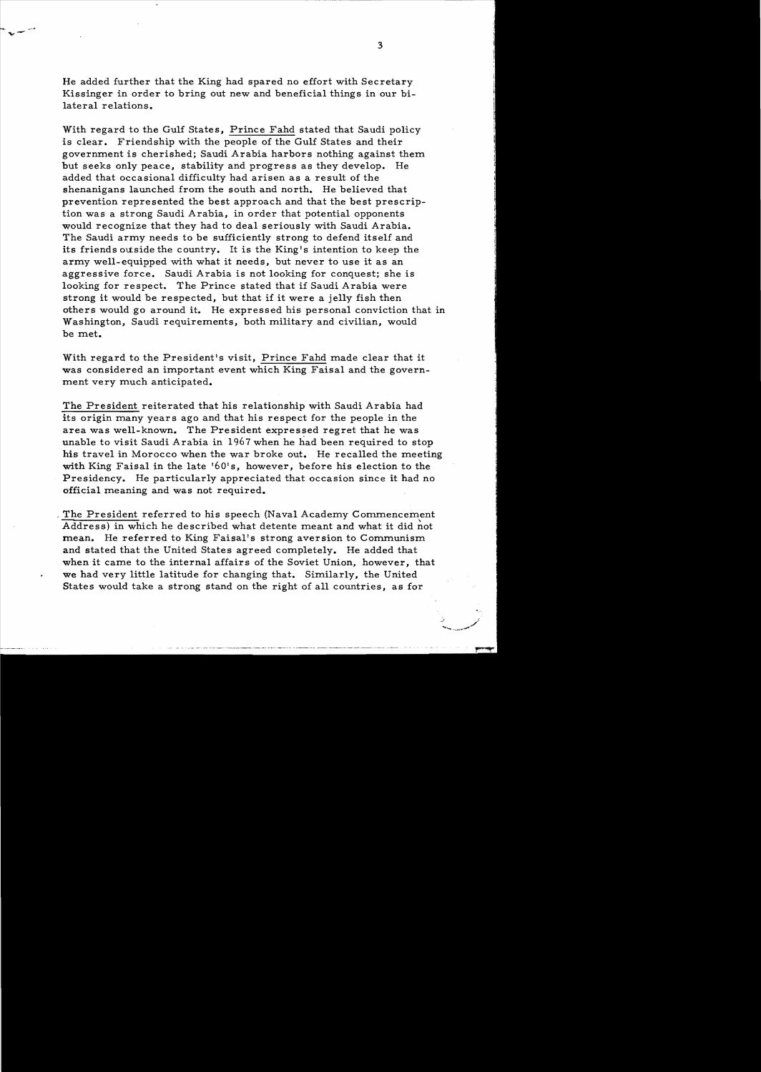He added further that the King had spared no effort with Secretary Kissinger in order to bring out new and beneficial things in our bi lateral relations.

With regard to the Gulf States, Prince Fahd stated that Saudi policy is clear. Friendship with the people of the Gulf States and their government is cherished; Saudi Arabia harbors nothing against them but seeks only peace, stability and progress as they develop. He added that occasional difficulty had arisen as a result of the shenanigans launched from the south and north. He believed that prevention represented the best approach and that the best prescription was a strong Saudi Arabia, in order that potential opponents would recognize that they had to deal seriously with Saudi Arabia. The Saudi army needs to be sufficiently strong to defend itself and its friends outside the country. It is the King's intention to keep the army well-equipped with what it needs, but never to use it as an aggressive force. Saudi Arabia is not looking for conquest; she is looking for respect. The Prince stated that if Saudi Arabia were strong it would be respected, but that if it were a jelly fish then others would go around it. He expressed his personal conviction that in Washington, Saudi requirements, both military and civilian, would be met.

With regard to the President's visit, Prince Fahd made clear that it was considered an important event which King Faisa1 and the govern ment very much anticipated.

The President reiterated that his relationship with Saudi Arabia had its origin many years ago and that his respect for the people in the area was well-known. The President expressed regret that he was unable to visit Saudi Arabia in 1967 when he had been required to stop his travel in Morocco when the war broke out. He recalled the meeting with King Faisal in the late '60's, however, before his election to the Presidency. He particularly appreciated that occasion since it had no official meaning and was not required.

, The President referred to his speech (Naval Academy Commencement Address) in which he described what detente meant and what it did not mean. He referred to King Faisal's strong aversion to Communism and stated that the United States agreed completely. He added that when it came to the internal affairs of the Soviet Union, however, that we had very little latitude for changing that. Similarly. the United States would take a strong stand on the right of all countries, as for